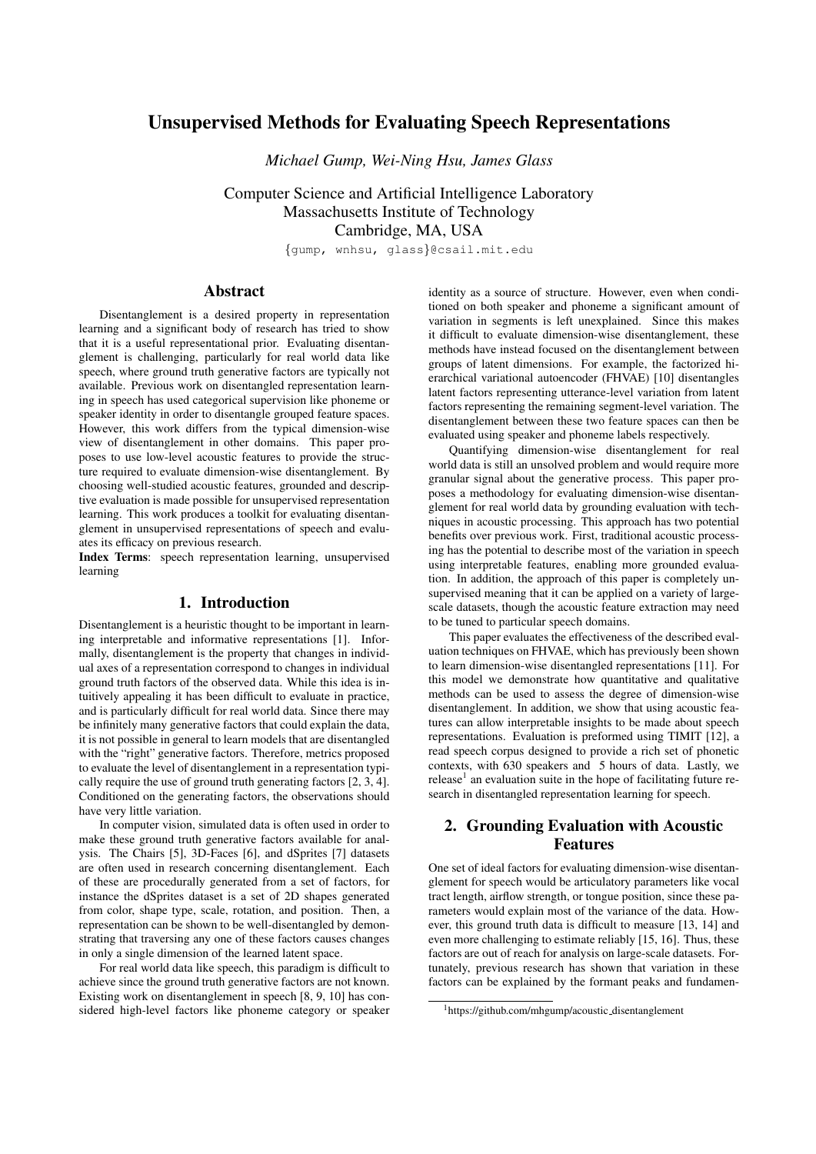# Unsupervised Methods for Evaluating Speech Representations

*Michael Gump, Wei-Ning Hsu, James Glass*

Computer Science and Artificial Intelligence Laboratory Massachusetts Institute of Technology Cambridge, MA, USA

{gump, wnhsu, glass}@csail.mit.edu

# Abstract

Disentanglement is a desired property in representation learning and a significant body of research has tried to show that it is a useful representational prior. Evaluating disentanglement is challenging, particularly for real world data like speech, where ground truth generative factors are typically not available. Previous work on disentangled representation learning in speech has used categorical supervision like phoneme or speaker identity in order to disentangle grouped feature spaces. However, this work differs from the typical dimension-wise view of disentanglement in other domains. This paper proposes to use low-level acoustic features to provide the structure required to evaluate dimension-wise disentanglement. By choosing well-studied acoustic features, grounded and descriptive evaluation is made possible for unsupervised representation learning. This work produces a toolkit for evaluating disentanglement in unsupervised representations of speech and evaluates its efficacy on previous research.

Index Terms: speech representation learning, unsupervised learning

### 1. Introduction

Disentanglement is a heuristic thought to be important in learning interpretable and informative representations [\[1\]](#page-3-0). Informally, disentanglement is the property that changes in individual axes of a representation correspond to changes in individual ground truth factors of the observed data. While this idea is intuitively appealing it has been difficult to evaluate in practice, and is particularly difficult for real world data. Since there may be infinitely many generative factors that could explain the data, it is not possible in general to learn models that are disentangled with the "right" generative factors. Therefore, metrics proposed to evaluate the level of disentanglement in a representation typically require the use of ground truth generating factors [\[2,](#page-3-1) [3,](#page-3-2) [4\]](#page-3-3). Conditioned on the generating factors, the observations should have very little variation.

In computer vision, simulated data is often used in order to make these ground truth generative factors available for analysis. The Chairs [\[5\]](#page-4-0), 3D-Faces [\[6\]](#page-4-1), and dSprites [\[7\]](#page-4-2) datasets are often used in research concerning disentanglement. Each of these are procedurally generated from a set of factors, for instance the dSprites dataset is a set of 2D shapes generated from color, shape type, scale, rotation, and position. Then, a representation can be shown to be well-disentangled by demonstrating that traversing any one of these factors causes changes in only a single dimension of the learned latent space.

For real world data like speech, this paradigm is difficult to achieve since the ground truth generative factors are not known. Existing work on disentanglement in speech [\[8,](#page-4-3) [9,](#page-4-4) [10\]](#page-4-5) has considered high-level factors like phoneme category or speaker

identity as a source of structure. However, even when conditioned on both speaker and phoneme a significant amount of variation in segments is left unexplained. Since this makes it difficult to evaluate dimension-wise disentanglement, these methods have instead focused on the disentanglement between groups of latent dimensions. For example, the factorized hierarchical variational autoencoder (FHVAE) [\[10\]](#page-4-5) disentangles latent factors representing utterance-level variation from latent factors representing the remaining segment-level variation. The disentanglement between these two feature spaces can then be evaluated using speaker and phoneme labels respectively.

Quantifying dimension-wise disentanglement for real world data is still an unsolved problem and would require more granular signal about the generative process. This paper proposes a methodology for evaluating dimension-wise disentanglement for real world data by grounding evaluation with techniques in acoustic processing. This approach has two potential benefits over previous work. First, traditional acoustic processing has the potential to describe most of the variation in speech using interpretable features, enabling more grounded evaluation. In addition, the approach of this paper is completely unsupervised meaning that it can be applied on a variety of largescale datasets, though the acoustic feature extraction may need to be tuned to particular speech domains.

This paper evaluates the effectiveness of the described evaluation techniques on FHVAE, which has previously been shown to learn dimension-wise disentangled representations [\[11\]](#page-4-6). For this model we demonstrate how quantitative and qualitative methods can be used to assess the degree of dimension-wise disentanglement. In addition, we show that using acoustic features can allow interpretable insights to be made about speech representations. Evaluation is preformed using TIMIT [\[12\]](#page-4-7), a read speech corpus designed to provide a rich set of phonetic contexts, with 630 speakers and 5 hours of data. Lastly, we release<sup>[1](#page-0-0)</sup> an evaluation suite in the hope of facilitating future research in disentangled representation learning for speech.

# 2. Grounding Evaluation with Acoustic Features

One set of ideal factors for evaluating dimension-wise disentanglement for speech would be articulatory parameters like vocal tract length, airflow strength, or tongue position, since these parameters would explain most of the variance of the data. However, this ground truth data is difficult to measure [\[13,](#page-4-8) [14\]](#page-4-9) and even more challenging to estimate reliably [\[15,](#page-4-10) [16\]](#page-4-11). Thus, these factors are out of reach for analysis on large-scale datasets. Fortunately, previous research has shown that variation in these factors can be explained by the formant peaks and fundamen-

<span id="page-0-0"></span><sup>1</sup>[https://github.com/mhgump/acoustic](https://github.com/mhgump/acoustic_disentanglement) disentanglement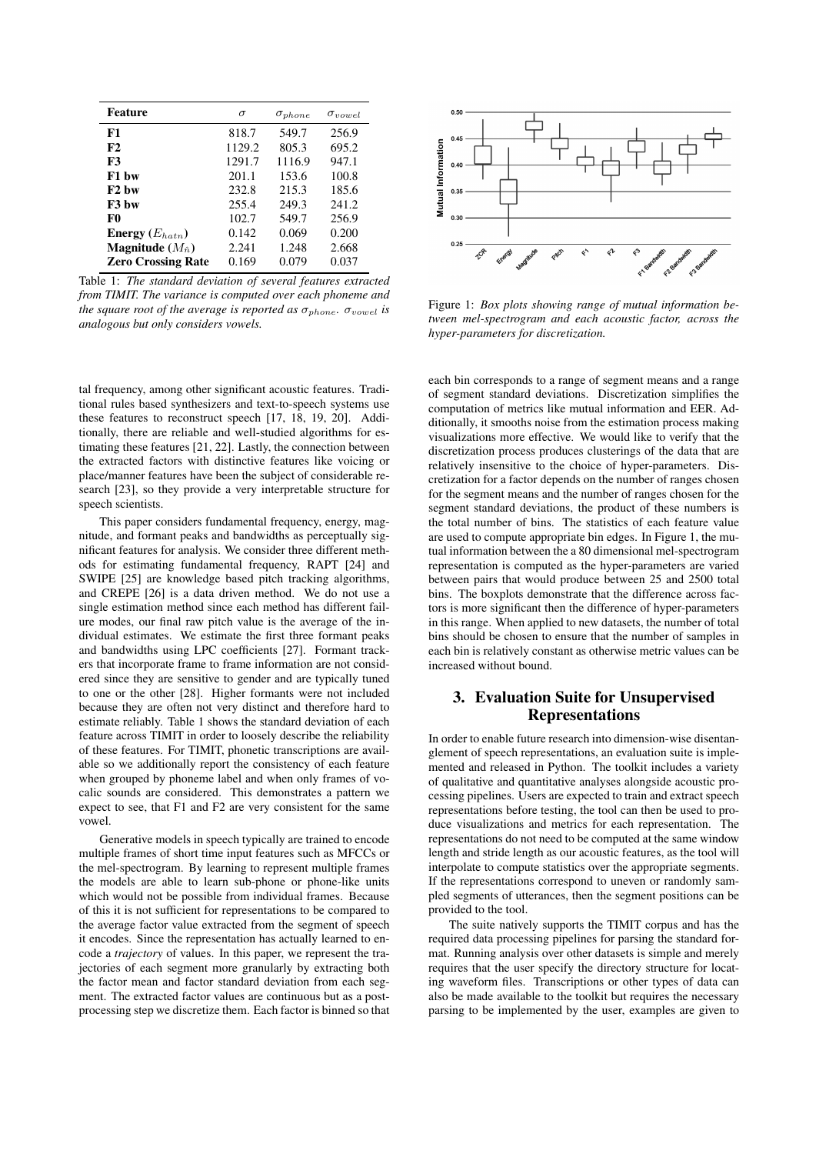<span id="page-1-0"></span>

| <b>Feature</b>                   | $\sigma$ | $\sigma_{phone}$ | $\sigma_{vowel}$ |
|----------------------------------|----------|------------------|------------------|
| F1                               | 818.7    | 549.7            | 256.9            |
| F2                               | 1129.2   | 805.3            | 695.2            |
| <b>F3</b>                        | 1291.7   | 1116.9           | 947.1            |
| F1 bw                            | 201.1    | 153.6            | 100.8            |
| $F2$ hw                          | 232.8    | 215.3            | 185.6            |
| F <sub>3</sub> bw                | 255.4    | 249.3            | 241.2            |
| F0                               | 102.7    | 549.7            | 256.9            |
| <b>Energy</b> $(E_{hat})$        | 0.142    | 0.069            | 0.200            |
| <b>Magnitude</b> $(M_{\hat{n}})$ | 2.241    | 1.248            | 2.668            |
| <b>Zero Crossing Rate</b>        | 0.169    | 0.079            | 0.037            |

Table 1: *The standard deviation of several features extracted from TIMIT. The variance is computed over each phoneme and the square root of the average is reported as*  $\sigma_{phone}$ .  $\sigma_{vowel}$  *is analogous but only considers vowels.*

tal frequency, among other significant acoustic features. Traditional rules based synthesizers and text-to-speech systems use these features to reconstruct speech [\[17,](#page-4-12) [18,](#page-4-13) [19,](#page-4-14) [20\]](#page-4-15). Additionally, there are reliable and well-studied algorithms for estimating these features [\[21,](#page-4-16) [22\]](#page-4-17). Lastly, the connection between the extracted factors with distinctive features like voicing or place/manner features have been the subject of considerable research [\[23\]](#page-4-18), so they provide a very interpretable structure for speech scientists.

This paper considers fundamental frequency, energy, magnitude, and formant peaks and bandwidths as perceptually significant features for analysis. We consider three different methods for estimating fundamental frequency, RAPT [\[24\]](#page-4-19) and SWIPE [\[25\]](#page-4-20) are knowledge based pitch tracking algorithms, and CREPE [\[26\]](#page-4-21) is a data driven method. We do not use a single estimation method since each method has different failure modes, our final raw pitch value is the average of the individual estimates. We estimate the first three formant peaks and bandwidths using LPC coefficients [\[27\]](#page-4-22). Formant trackers that incorporate frame to frame information are not considered since they are sensitive to gender and are typically tuned to one or the other [\[28\]](#page-4-23). Higher formants were not included because they are often not very distinct and therefore hard to estimate reliably. Table [1](#page-1-0) shows the standard deviation of each feature across TIMIT in order to loosely describe the reliability of these features. For TIMIT, phonetic transcriptions are available so we additionally report the consistency of each feature when grouped by phoneme label and when only frames of vocalic sounds are considered. This demonstrates a pattern we expect to see, that F1 and F2 are very consistent for the same vowel.

Generative models in speech typically are trained to encode multiple frames of short time input features such as MFCCs or the mel-spectrogram. By learning to represent multiple frames the models are able to learn sub-phone or phone-like units which would not be possible from individual frames. Because of this it is not sufficient for representations to be compared to the average factor value extracted from the segment of speech it encodes. Since the representation has actually learned to encode a *trajectory* of values. In this paper, we represent the trajectories of each segment more granularly by extracting both the factor mean and factor standard deviation from each segment. The extracted factor values are continuous but as a postprocessing step we discretize them. Each factor is binned so that

<span id="page-1-1"></span>

Figure 1: *Box plots showing range of mutual information between mel-spectrogram and each acoustic factor, across the hyper-parameters for discretization.*

each bin corresponds to a range of segment means and a range of segment standard deviations. Discretization simplifies the computation of metrics like mutual information and EER. Additionally, it smooths noise from the estimation process making visualizations more effective. We would like to verify that the discretization process produces clusterings of the data that are relatively insensitive to the choice of hyper-parameters. Discretization for a factor depends on the number of ranges chosen for the segment means and the number of ranges chosen for the segment standard deviations, the product of these numbers is the total number of bins. The statistics of each feature value are used to compute appropriate bin edges. In Figure [1,](#page-1-1) the mutual information between the a 80 dimensional mel-spectrogram representation is computed as the hyper-parameters are varied between pairs that would produce between 25 and 2500 total bins. The boxplots demonstrate that the difference across factors is more significant then the difference of hyper-parameters in this range. When applied to new datasets, the number of total bins should be chosen to ensure that the number of samples in each bin is relatively constant as otherwise metric values can be increased without bound.

# 3. Evaluation Suite for Unsupervised Representations

In order to enable future research into dimension-wise disentanglement of speech representations, an evaluation suite is implemented and released in Python. The toolkit includes a variety of qualitative and quantitative analyses alongside acoustic processing pipelines. Users are expected to train and extract speech representations before testing, the tool can then be used to produce visualizations and metrics for each representation. The representations do not need to be computed at the same window length and stride length as our acoustic features, as the tool will interpolate to compute statistics over the appropriate segments. If the representations correspond to uneven or randomly sampled segments of utterances, then the segment positions can be provided to the tool.

The suite natively supports the TIMIT corpus and has the required data processing pipelines for parsing the standard format. Running analysis over other datasets is simple and merely requires that the user specify the directory structure for locating waveform files. Transcriptions or other types of data can also be made available to the toolkit but requires the necessary parsing to be implemented by the user, examples are given to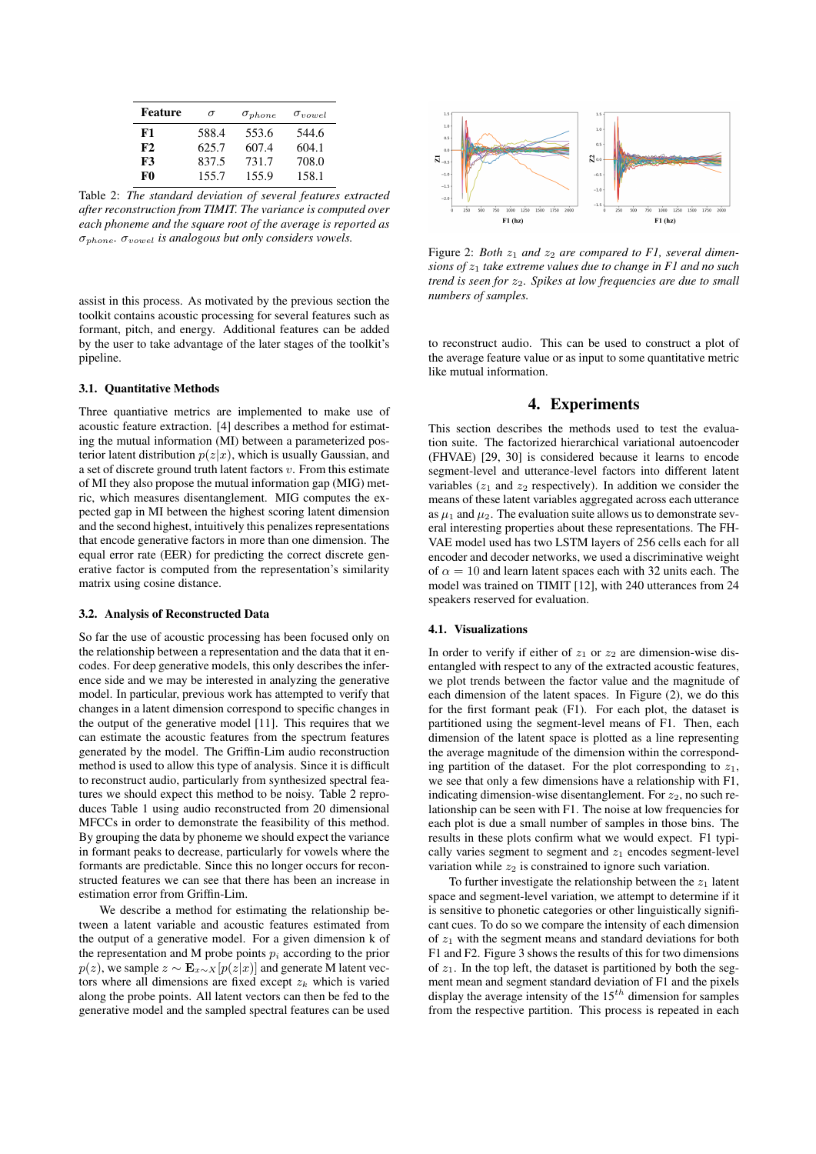<span id="page-2-0"></span>

| <b>Feature</b> | $\sigma$ | $\sigma_{phone}$ | $\sigma_{vowel}$ |
|----------------|----------|------------------|------------------|
| F1             | 588.4    | 553.6            | 544.6            |
| F2             | 625.7    | 607.4            | 604.1            |
| F3             | 837.5    | 731.7            | 708.0            |
| F0             | 155.7    | 155.9            | 158.1            |

Table 2: *The standard deviation of several features extracted after reconstruction from TIMIT. The variance is computed over each phoneme and the square root of the average is reported as* σphone*.* σvowel *is analogous but only considers vowels.*

assist in this process. As motivated by the previous section the toolkit contains acoustic processing for several features such as formant, pitch, and energy. Additional features can be added by the user to take advantage of the later stages of the toolkit's pipeline.

### 3.1. Quantitative Methods

Three quantiative metrics are implemented to make use of acoustic feature extraction. [\[4\]](#page-3-3) describes a method for estimating the mutual information (MI) between a parameterized posterior latent distribution  $p(z|x)$ , which is usually Gaussian, and a set of discrete ground truth latent factors  $v$ . From this estimate of MI they also propose the mutual information gap (MIG) metric, which measures disentanglement. MIG computes the expected gap in MI between the highest scoring latent dimension and the second highest, intuitively this penalizes representations that encode generative factors in more than one dimension. The equal error rate (EER) for predicting the correct discrete generative factor is computed from the representation's similarity matrix using cosine distance.

#### 3.2. Analysis of Reconstructed Data

So far the use of acoustic processing has been focused only on the relationship between a representation and the data that it encodes. For deep generative models, this only describes the inference side and we may be interested in analyzing the generative model. In particular, previous work has attempted to verify that changes in a latent dimension correspond to specific changes in the output of the generative model [\[11\]](#page-4-6). This requires that we can estimate the acoustic features from the spectrum features generated by the model. The Griffin-Lim audio reconstruction method is used to allow this type of analysis. Since it is difficult to reconstruct audio, particularly from synthesized spectral features we should expect this method to be noisy. Table [2](#page-2-0) reproduces Table [1](#page-1-0) using audio reconstructed from 20 dimensional MFCCs in order to demonstrate the feasibility of this method. By grouping the data by phoneme we should expect the variance in formant peaks to decrease, particularly for vowels where the formants are predictable. Since this no longer occurs for reconstructed features we can see that there has been an increase in estimation error from Griffin-Lim.

We describe a method for estimating the relationship between a latent variable and acoustic features estimated from the output of a generative model. For a given dimension k of the representation and M probe points  $p_i$  according to the prior  $p(z)$ , we sample  $z \sim \mathbf{E}_{x \sim X} [p(z|x)]$  and generate M latent vectors where all dimensions are fixed except  $z_k$  which is varied along the probe points. All latent vectors can then be fed to the generative model and the sampled spectral features can be used

<span id="page-2-1"></span>

Figure 2: *Both*  $z_1$  *and*  $z_2$  *are compared to F1, several dimensions of*  $z_1$  *take extreme values due to change in F1 and no such trend is seen for*  $z_2$ *. Spikes at low frequencies are due to small numbers of samples.*

to reconstruct audio. This can be used to construct a plot of the average feature value or as input to some quantitative metric like mutual information.

## 4. Experiments

This section describes the methods used to test the evaluation suite. The factorized hierarchical variational autoencoder (FHVAE) [\[29,](#page-4-24) [30\]](#page-4-25) is considered because it learns to encode segment-level and utterance-level factors into different latent variables  $(z_1$  and  $z_2$  respectively). In addition we consider the means of these latent variables aggregated across each utterance as  $\mu_1$  and  $\mu_2$ . The evaluation suite allows us to demonstrate several interesting properties about these representations. The FH-VAE model used has two LSTM layers of 256 cells each for all encoder and decoder networks, we used a discriminative weight of  $\alpha = 10$  and learn latent spaces each with 32 units each. The model was trained on TIMIT [\[12\]](#page-4-7), with 240 utterances from 24 speakers reserved for evaluation.

#### 4.1. Visualizations

In order to verify if either of  $z_1$  or  $z_2$  are dimension-wise disentangled with respect to any of the extracted acoustic features, we plot trends between the factor value and the magnitude of each dimension of the latent spaces. In Figure [\(2\)](#page-2-1), we do this for the first formant peak (F1). For each plot, the dataset is partitioned using the segment-level means of F1. Then, each dimension of the latent space is plotted as a line representing the average magnitude of the dimension within the corresponding partition of the dataset. For the plot corresponding to  $z_1$ , we see that only a few dimensions have a relationship with F1, indicating dimension-wise disentanglement. For  $z_2$ , no such relationship can be seen with F1. The noise at low frequencies for each plot is due a small number of samples in those bins. The results in these plots confirm what we would expect. F1 typically varies segment to segment and  $z<sub>1</sub>$  encodes segment-level variation while  $z_2$  is constrained to ignore such variation.

To further investigate the relationship between the  $z_1$  latent space and segment-level variation, we attempt to determine if it is sensitive to phonetic categories or other linguistically significant cues. To do so we compare the intensity of each dimension of  $z_1$  with the segment means and standard deviations for both F1 and F2. Figure [3](#page-3-4) shows the results of this for two dimensions of  $z_1$ . In the top left, the dataset is partitioned by both the segment mean and segment standard deviation of F1 and the pixels display the average intensity of the  $15^{th}$  dimension for samples from the respective partition. This process is repeated in each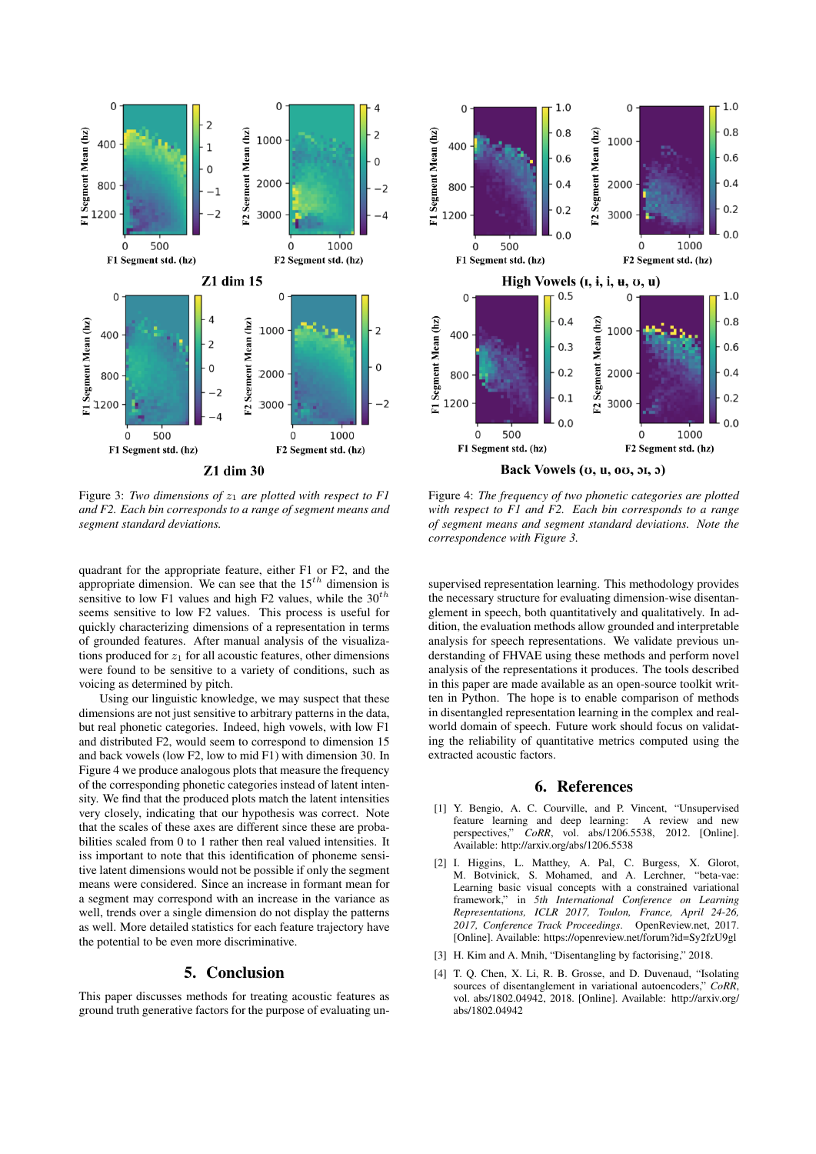<span id="page-3-4"></span>

Figure 3: *Two dimensions of*  $z_1$  *are plotted with respect to F1 and F2. Each bin corresponds to a range of segment means and segment standard deviations.*

quadrant for the appropriate feature, either F1 or F2, and the appropriate dimension. We can see that the  $15^{th}$  dimension is sensitive to low F1 values and high F2 values, while the  $30^{th}$ seems sensitive to low F2 values. This process is useful for quickly characterizing dimensions of a representation in terms of grounded features. After manual analysis of the visualizations produced for  $z_1$  for all acoustic features, other dimensions were found to be sensitive to a variety of conditions, such as voicing as determined by pitch.

Using our linguistic knowledge, we may suspect that these dimensions are not just sensitive to arbitrary patterns in the data, but real phonetic categories. Indeed, high vowels, with low F1 and distributed F2, would seem to correspond to dimension 15 and back vowels (low F2, low to mid F1) with dimension 30. In Figure [4](#page-3-5) we produce analogous plots that measure the frequency of the corresponding phonetic categories instead of latent intensity. We find that the produced plots match the latent intensities very closely, indicating that our hypothesis was correct. Note that the scales of these axes are different since these are probabilities scaled from 0 to 1 rather then real valued intensities. It iss important to note that this identification of phoneme sensitive latent dimensions would not be possible if only the segment means were considered. Since an increase in formant mean for a segment may correspond with an increase in the variance as well, trends over a single dimension do not display the patterns as well. More detailed statistics for each feature trajectory have the potential to be even more discriminative.

### 5. Conclusion

This paper discusses methods for treating acoustic features as ground truth generative factors for the purpose of evaluating un-

<span id="page-3-5"></span>

Figure 4: *The frequency of two phonetic categories are plotted with respect to F1 and F2. Each bin corresponds to a range of segment means and segment standard deviations. Note the correspondence with Figure [3.](#page-3-4)*

supervised representation learning. This methodology provides the necessary structure for evaluating dimension-wise disentanglement in speech, both quantitatively and qualitatively. In addition, the evaluation methods allow grounded and interpretable analysis for speech representations. We validate previous understanding of FHVAE using these methods and perform novel analysis of the representations it produces. The tools described in this paper are made available as an open-source toolkit written in Python. The hope is to enable comparison of methods in disentangled representation learning in the complex and realworld domain of speech. Future work should focus on validating the reliability of quantitative metrics computed using the extracted acoustic factors.

### 6. References

- <span id="page-3-0"></span>[1] Y. Bengio, A. C. Courville, and P. Vincent, "Unsupervised feature learning and deep learning: A review and new feature learning and deep learning:<br>perspectives," CoRR, vol. abs/1206. *CoRR*, vol. abs/1206.5538, 2012. [Online]. Available:<http://arxiv.org/abs/1206.5538>
- <span id="page-3-1"></span>[2] I. Higgins, L. Matthey, A. Pal, C. Burgess, X. Glorot, M. Botvinick, S. Mohamed, and A. Lerchner, "beta-vae: Learning basic visual concepts with a constrained variational framework," in *5th International Conference on Learning Representations, ICLR 2017, Toulon, France, April 24-26, 2017, Conference Track Proceedings*. OpenReview.net, 2017. [Online]. Available:<https://openreview.net/forum?id=Sy2fzU9gl>
- <span id="page-3-2"></span>[3] H. Kim and A. Mnih, "Disentangling by factorising," 2018.
- <span id="page-3-3"></span>[4] T. O. Chen, X. Li, R. B. Grosse, and D. Duvenaud, "Isolating sources of disentanglement in variational autoencoders," *CoRR*, vol. abs/1802.04942, 2018. [Online]. Available: [http://arxiv.org/](http://arxiv.org/abs/1802.04942) [abs/1802.04942](http://arxiv.org/abs/1802.04942)